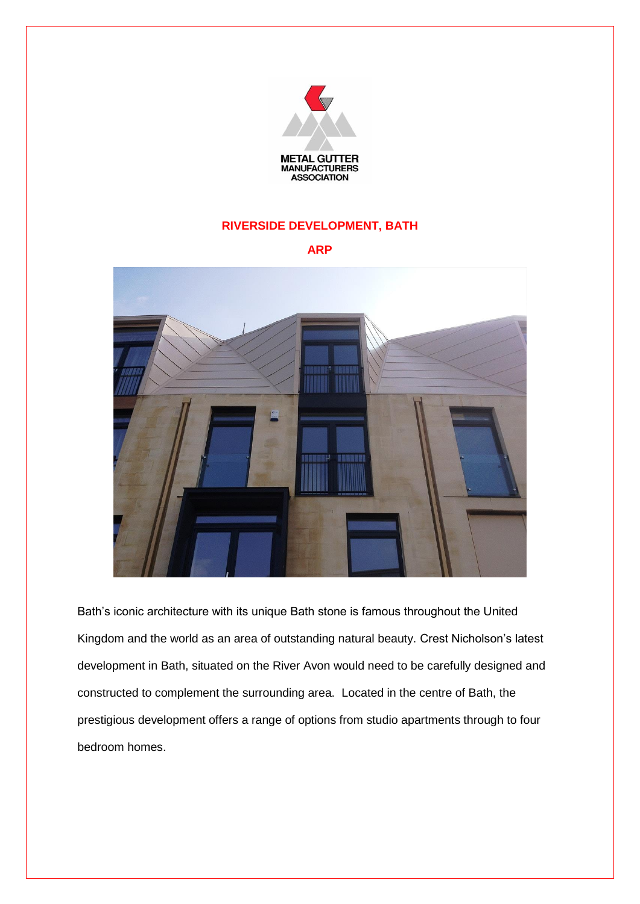

## **RIVERSIDE DEVELOPMENT, BATH**

## **ARP**



Bath's iconic architecture with its unique Bath stone is famous throughout the United Kingdom and the world as an area of outstanding natural beauty. Crest Nicholson's latest development in Bath, situated on the River Avon would need to be carefully designed and constructed to complement the surrounding area. Located in the centre of Bath, the prestigious development offers a range of options from studio apartments through to four bedroom homes.